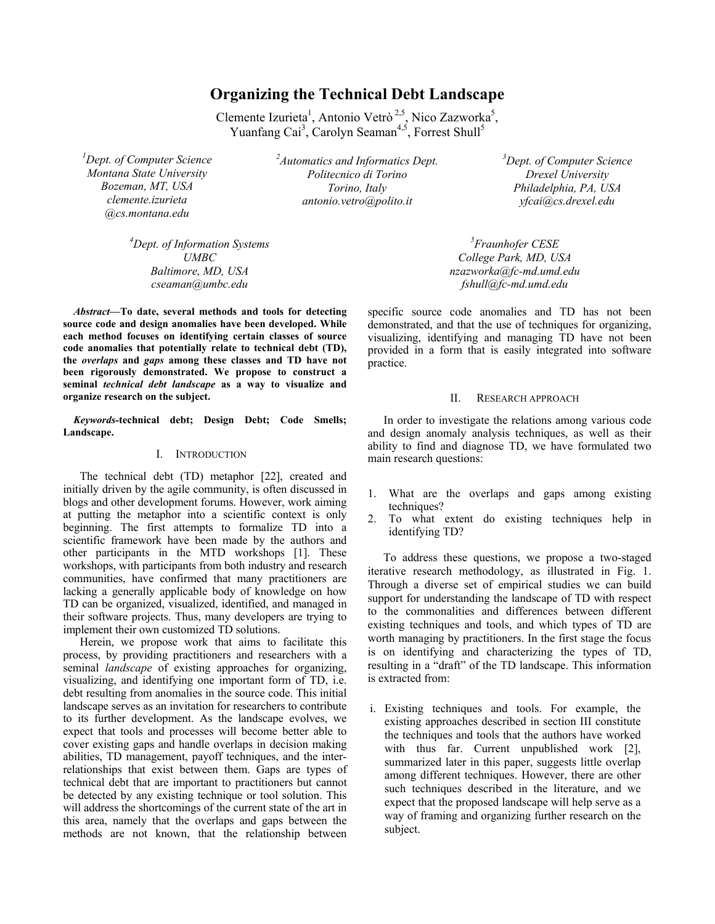# **Organizing the Technical Debt Landscape**

Clemente Izurieta<sup>1</sup>, Antonio Vetrò<sup>2,5</sup>, Nico Zazworka<sup>5</sup>, Yuanfang Cai<sup>3</sup>, Carolyn Seaman<sup>4,5</sup>, Forrest Shull<sup>5</sup>

*1 Dept. of Computer Science Montana State University Bozeman, MT, USA clemente.izurieta @cs.montana.edu* 

> *4 Dept. of Information Systems UMBC Baltimore, MD, USA cseaman@umbc.edu*

*Abstract***—To date, several methods and tools for detecting source code and design anomalies have been developed. While each method focuses on identifying certain classes of source code anomalies that potentially relate to technical debt (TD), the** *overlaps* **and** *gaps* **among these classes and TD have not been rigorously demonstrated. We propose to construct a seminal** *technical debt landscape* **as a way to visualize and organize research on the subject.** 

*Keywords-***technical debt; Design Debt; Code Smells; Landscape.**

#### I. INTRODUCTION

The technical debt (TD) metaphor [22], created and initially driven by the agile community, is often discussed in blogs and other development forums. However, work aiming at putting the metaphor into a scientific context is only beginning. The first attempts to formalize TD into a scientific framework have been made by the authors and other participants in the MTD workshops [1]. These workshops, with participants from both industry and research communities, have confirmed that many practitioners are lacking a generally applicable body of knowledge on how TD can be organized, visualized, identified, and managed in their software projects. Thus, many developers are trying to implement their own customized TD solutions.

Herein, we propose work that aims to facilitate this process, by providing practitioners and researchers with a seminal *landscape* of existing approaches for organizing, visualizing, and identifying one important form of TD, i.e. debt resulting from anomalies in the source code. This initial landscape serves as an invitation for researchers to contribute to its further development. As the landscape evolves, we expect that tools and processes will become better able to cover existing gaps and handle overlaps in decision making abilities, TD management, payoff techniques, and the interrelationships that exist between them. Gaps are types of technical debt that are important to practitioners but cannot be detected by any existing technique or tool solution. This will address the shortcomings of the current state of the art in this area, namely that the overlaps and gaps between the methods are not known, that the relationship between

*2 Automatics and Informatics Dept. Politecnico di Torino Torino, Italy antonio.vetro@polito.it* 

*3 Dept. of Computer Science Drexel University Philadelphia, PA, USA yfcai@cs.drexel.edu* 

*5 Fraunhofer CESE College Park, MD, USA nzazworka@fc-md.umd.edu fshull@fc-md.umd.edu*

specific source code anomalies and TD has not been demonstrated, and that the use of techniques for organizing, visualizing, identifying and managing TD have not been provided in a form that is easily integrated into software practice.

## II. RESEARCH APPROACH

In order to investigate the relations among various code and design anomaly analysis techniques, as well as their ability to find and diagnose TD, we have formulated two main research questions:

- 1. What are the overlaps and gaps among existing techniques?
- 2. To what extent do existing techniques help in identifying TD?

To address these questions, we propose a two-staged iterative research methodology, as illustrated in Fig. 1. Through a diverse set of empirical studies we can build support for understanding the landscape of TD with respect to the commonalities and differences between different existing techniques and tools, and which types of TD are worth managing by practitioners. In the first stage the focus is on identifying and characterizing the types of TD, resulting in a "draft" of the TD landscape. This information is extracted from:

i. Existing techniques and tools. For example, the existing approaches described in section III constitute the techniques and tools that the authors have worked with thus far. Current unpublished work [2], summarized later in this paper, suggests little overlap among different techniques. However, there are other such techniques described in the literature, and we expect that the proposed landscape will help serve as a way of framing and organizing further research on the subject.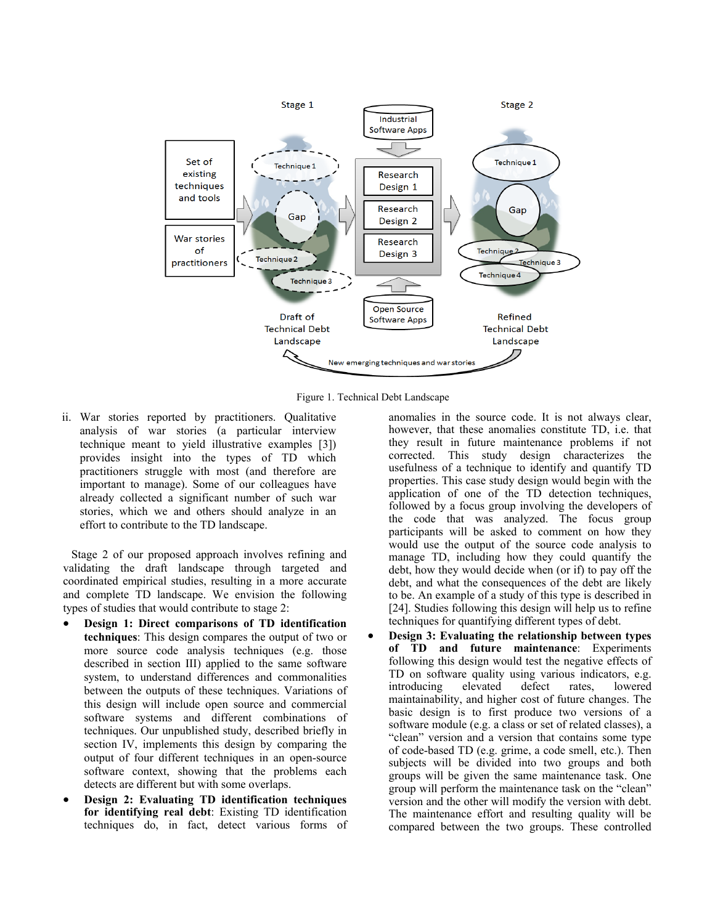

Figure 1. Technical Debt Landscape

ii. War stories reported by practitioners. Qualitative analysis of war stories (a particular interview technique meant to yield illustrative examples [3]) provides insight into the types of TD which practitioners struggle with most (and therefore are important to manage). Some of our colleagues have already collected a significant number of such war stories, which we and others should analyze in an effort to contribute to the TD landscape.

Stage 2 of our proposed approach involves refining and validating the draft landscape through targeted and coordinated empirical studies, resulting in a more accurate and complete TD landscape. We envision the following types of studies that would contribute to stage 2:

- **Design 1: Direct comparisons of TD identification techniques**: This design compares the output of two or more source code analysis techniques (e.g. those described in section III) applied to the same software system, to understand differences and commonalities between the outputs of these techniques. Variations of this design will include open source and commercial software systems and different combinations of techniques. Our unpublished study, described briefly in section IV, implements this design by comparing the output of four different techniques in an open-source software context, showing that the problems each detects are different but with some overlaps.
- **Design 2: Evaluating TD identification techniques for identifying real debt**: Existing TD identification techniques do, in fact, detect various forms of

anomalies in the source code. It is not always clear, however, that these anomalies constitute TD, i.e. that they result in future maintenance problems if not corrected. This study design characterizes the usefulness of a technique to identify and quantify TD properties. This case study design would begin with the application of one of the TD detection techniques, followed by a focus group involving the developers of the code that was analyzed. The focus group participants will be asked to comment on how they would use the output of the source code analysis to manage TD, including how they could quantify the debt, how they would decide when (or if) to pay off the debt, and what the consequences of the debt are likely to be. An example of a study of this type is described in [24]. Studies following this design will help us to refine techniques for quantifying different types of debt.

 **Design 3: Evaluating the relationship between types of TD and future maintenance**: Experiments following this design would test the negative effects of TD on software quality using various indicators, e.g. introducing elevated defect rates, lowered maintainability, and higher cost of future changes. The basic design is to first produce two versions of a software module (e.g. a class or set of related classes), a "clean" version and a version that contains some type of code-based TD (e.g. grime, a code smell, etc.). Then subjects will be divided into two groups and both groups will be given the same maintenance task. One group will perform the maintenance task on the "clean" version and the other will modify the version with debt. The maintenance effort and resulting quality will be compared between the two groups. These controlled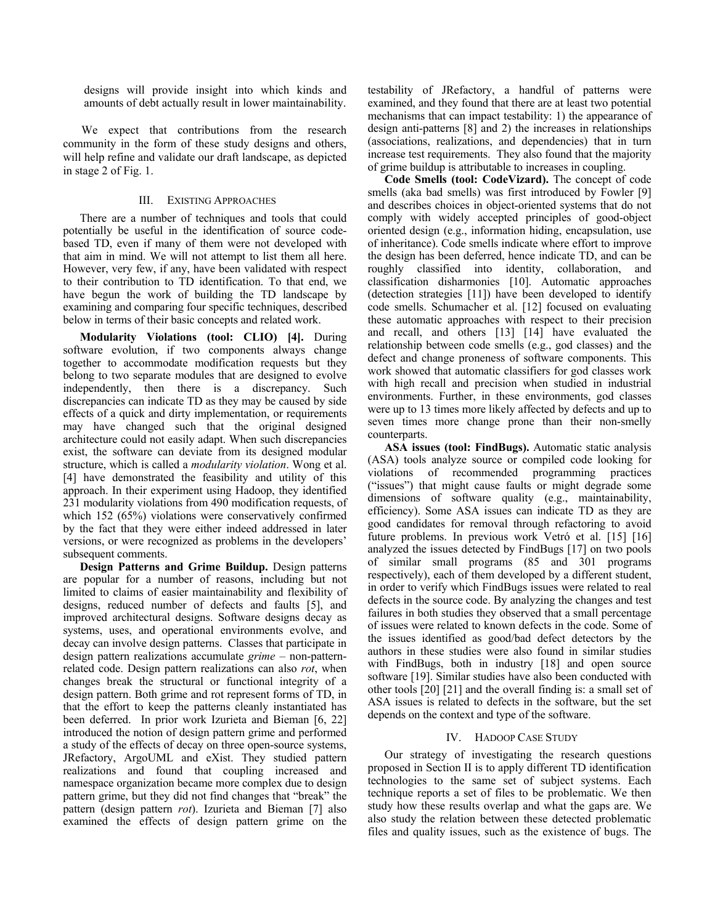designs will provide insight into which kinds and amounts of debt actually result in lower maintainability.

 We expect that contributions from the research community in the form of these study designs and others, will help refine and validate our draft landscape, as depicted in stage 2 of Fig. 1.

### III. EXISTING APPROACHES

There are a number of techniques and tools that could potentially be useful in the identification of source codebased TD, even if many of them were not developed with that aim in mind. We will not attempt to list them all here. However, very few, if any, have been validated with respect to their contribution to TD identification. To that end, we have begun the work of building the TD landscape by examining and comparing four specific techniques, described below in terms of their basic concepts and related work.

**Modularity Violations (tool: CLIO) [4].** During software evolution, if two components always change together to accommodate modification requests but they belong to two separate modules that are designed to evolve independently, then there is a discrepancy. Such discrepancies can indicate TD as they may be caused by side effects of a quick and dirty implementation, or requirements may have changed such that the original designed architecture could not easily adapt. When such discrepancies exist, the software can deviate from its designed modular structure, which is called a *modularity violation*. Wong et al. [4] have demonstrated the feasibility and utility of this approach. In their experiment using Hadoop, they identified 231 modularity violations from 490 modification requests, of which 152 (65%) violations were conservatively confirmed by the fact that they were either indeed addressed in later versions, or were recognized as problems in the developers' subsequent comments.

**Design Patterns and Grime Buildup.** Design patterns are popular for a number of reasons, including but not limited to claims of easier maintainability and flexibility of designs, reduced number of defects and faults [5], and improved architectural designs. Software designs decay as systems, uses, and operational environments evolve, and decay can involve design patterns. Classes that participate in design pattern realizations accumulate *grime* – non-patternrelated code. Design pattern realizations can also *rot*, when changes break the structural or functional integrity of a design pattern. Both grime and rot represent forms of TD, in that the effort to keep the patterns cleanly instantiated has been deferred. In prior work Izurieta and Bieman [6, 22] introduced the notion of design pattern grime and performed a study of the effects of decay on three open-source systems, JRefactory, ArgoUML and eXist. They studied pattern realizations and found that coupling increased and namespace organization became more complex due to design pattern grime, but they did not find changes that "break" the pattern (design pattern *rot*). Izurieta and Bieman [7] also examined the effects of design pattern grime on the

testability of JRefactory, a handful of patterns were examined, and they found that there are at least two potential mechanisms that can impact testability: 1) the appearance of design anti-patterns [8] and 2) the increases in relationships (associations, realizations, and dependencies) that in turn increase test requirements. They also found that the majority of grime buildup is attributable to increases in coupling.

**Code Smells (tool: CodeVizard).** The concept of code smells (aka bad smells) was first introduced by Fowler [9] and describes choices in object-oriented systems that do not comply with widely accepted principles of good-object oriented design (e.g., information hiding, encapsulation, use of inheritance). Code smells indicate where effort to improve the design has been deferred, hence indicate TD, and can be roughly classified into identity, collaboration, and classification disharmonies [10]. Automatic approaches (detection strategies [11]) have been developed to identify code smells. Schumacher et al. [12] focused on evaluating these automatic approaches with respect to their precision and recall, and others [13] [14] have evaluated the relationship between code smells (e.g., god classes) and the defect and change proneness of software components. This work showed that automatic classifiers for god classes work with high recall and precision when studied in industrial environments. Further, in these environments, god classes were up to 13 times more likely affected by defects and up to seven times more change prone than their non-smelly counterparts.

**ASA issues (tool: FindBugs).** Automatic static analysis (ASA) tools analyze source or compiled code looking for violations of recommended programming practices ("issues") that might cause faults or might degrade some dimensions of software quality (e.g., maintainability, efficiency). Some ASA issues can indicate TD as they are good candidates for removal through refactoring to avoid future problems. In previous work Vetró et al. [15] [16] analyzed the issues detected by FindBugs [17] on two pools of similar small programs (85 and 301 programs respectively), each of them developed by a different student, in order to verify which FindBugs issues were related to real defects in the source code. By analyzing the changes and test failures in both studies they observed that a small percentage of issues were related to known defects in the code. Some of the issues identified as good/bad defect detectors by the authors in these studies were also found in similar studies with FindBugs, both in industry [18] and open source software [19]. Similar studies have also been conducted with other tools [20] [21] and the overall finding is: a small set of ASA issues is related to defects in the software, but the set depends on the context and type of the software.

### IV. HADOOP CASE STUDY

Our strategy of investigating the research questions proposed in Section II is to apply different TD identification technologies to the same set of subject systems. Each technique reports a set of files to be problematic. We then study how these results overlap and what the gaps are. We also study the relation between these detected problematic files and quality issues, such as the existence of bugs. The